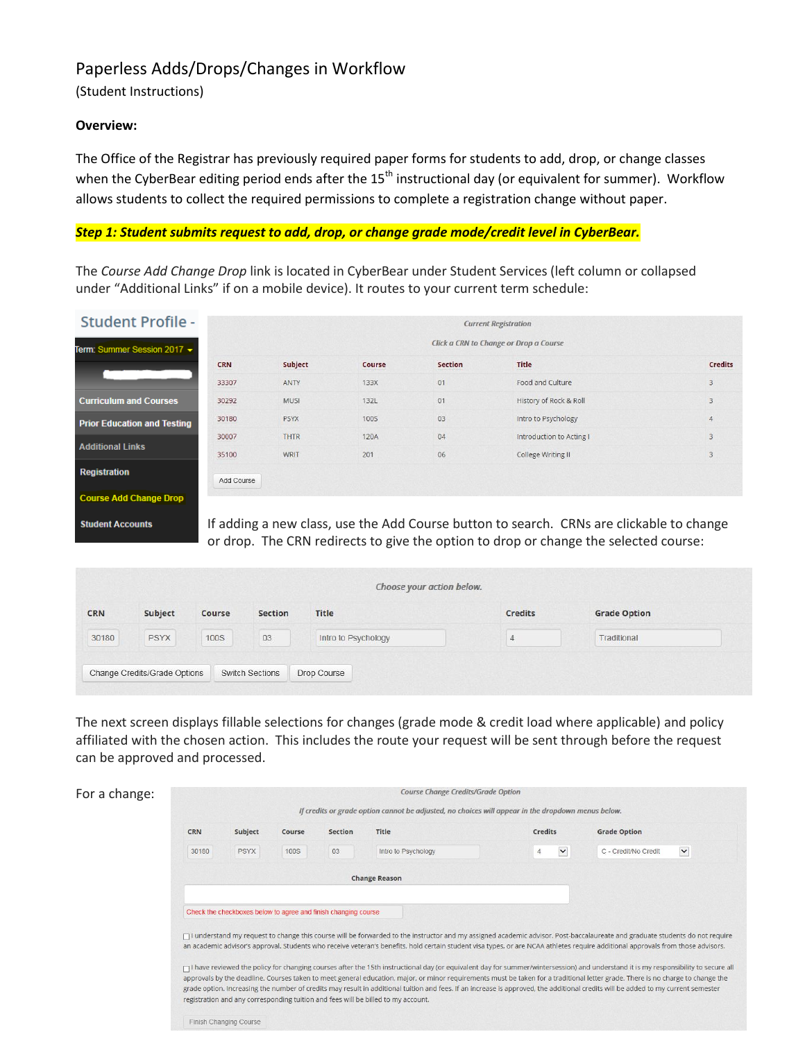# Paperless Adds/Drops/Changes in Workflow

(Student Instructions)

## **Overview:**

The Office of the Registrar has previously required paper forms for students to add, drop, or change classes when the CyberBear editing period ends after the 15<sup>th</sup> instructional day (or equivalent for summer). Workflow allows students to collect the required permissions to complete a registration change without paper.

### *Step 1: Student submits request to add, drop, or change grade mode/credit level in CyberBear.*

The *Course Add Change Drop* link is located in CyberBear under Student Services (left column or collapsed under "Additional Links" if on a mobile device). It routes to your current term schedule:

| <b>Student Profile -</b>           | <b>Current Registration</b>            |             |             |                |                                                                                          |                |  |  |  |  |
|------------------------------------|----------------------------------------|-------------|-------------|----------------|------------------------------------------------------------------------------------------|----------------|--|--|--|--|
| Term: Summer Session 2017 -        | Click a CRN to Change or Drop a Course |             |             |                |                                                                                          |                |  |  |  |  |
|                                    | <b>CRN</b>                             | Subject     | Course      | <b>Section</b> | <b>Title</b>                                                                             | <b>Credits</b> |  |  |  |  |
|                                    | 33307                                  | <b>ANTY</b> | 133X        | 01             | Food and Culture                                                                         | 3              |  |  |  |  |
| <b>Curriculum and Courses</b>      | 30292                                  | <b>MUSI</b> | 132L        | 01             | History of Rock & Roll                                                                   | $\mathbf{3}$   |  |  |  |  |
| <b>Prior Education and Testing</b> | 30180                                  | <b>PSYX</b> | <b>100S</b> | 03             | Intro to Psychology                                                                      | $\overline{4}$ |  |  |  |  |
|                                    | 30007                                  | <b>THTR</b> | 120A        | 04             | Introduction to Acting I                                                                 | 3              |  |  |  |  |
| <b>Additional Links</b>            | 35100                                  | <b>WRIT</b> | 201         | 06             | College Writing II                                                                       | 3              |  |  |  |  |
| <b>Registration</b>                | Add Course                             |             |             |                |                                                                                          |                |  |  |  |  |
| <b>Course Add Change Drop</b>      |                                        |             |             |                |                                                                                          |                |  |  |  |  |
| <b>Student Accounts</b>            |                                        |             |             |                | If adding a new class, use the Add Course button to search. CRNs are clickable to change |                |  |  |  |  |

If adding a new class, use the Add Course button to search. CRNs are clickable to change or drop. The CRN redirects to give the option to drop or change the selected course:

|            |                              |             |                        | Choose your action below. |                |                     |  |
|------------|------------------------------|-------------|------------------------|---------------------------|----------------|---------------------|--|
| <b>CRN</b> | Subject                      | Course      | Section                | <b>Title</b>              | <b>Credits</b> | <b>Grade Option</b> |  |
| 30180      | <b>PSYX</b>                  | <b>100S</b> | 03                     | Intro to Psychology       | ч              | Traditional         |  |
|            | Change Credits/Grade Options |             | <b>Switch Sections</b> | Drop Course               |                |                     |  |

The next screen displays fillable selections for changes (grade mode & credit load where applicable) and policy affiliated with the chosen action. This includes the route your request will be sent through before the request can be approved and processed.

| For a change: | <b>Course Change Credits/Grade Option</b><br>If credits or grade option cannot be adjusted, no choices will appear in the dropdown menus below. |                                                                                                                                                                                                                                                                                                                                                                                                                                                                                                                                                                                                                                                   |             |                |                     |                 |                                      |  |  |  |  |
|---------------|-------------------------------------------------------------------------------------------------------------------------------------------------|---------------------------------------------------------------------------------------------------------------------------------------------------------------------------------------------------------------------------------------------------------------------------------------------------------------------------------------------------------------------------------------------------------------------------------------------------------------------------------------------------------------------------------------------------------------------------------------------------------------------------------------------------|-------------|----------------|---------------------|-----------------|--------------------------------------|--|--|--|--|
|               | <b>CRN</b>                                                                                                                                      | Subject                                                                                                                                                                                                                                                                                                                                                                                                                                                                                                                                                                                                                                           | Course      | <b>Section</b> | Title               | Credits         | <b>Grade Option</b>                  |  |  |  |  |
|               | 30180                                                                                                                                           | PSYX                                                                                                                                                                                                                                                                                                                                                                                                                                                                                                                                                                                                                                              | <b>100S</b> | 03             | Intro to Psychology | $\check{}$<br>4 | $\checkmark$<br>C - Credit/No Credit |  |  |  |  |
|               |                                                                                                                                                 | <b>Change Reason</b>                                                                                                                                                                                                                                                                                                                                                                                                                                                                                                                                                                                                                              |             |                |                     |                 |                                      |  |  |  |  |
|               |                                                                                                                                                 | Check the checkboxes below to agree and finish changing course                                                                                                                                                                                                                                                                                                                                                                                                                                                                                                                                                                                    |             |                |                     |                 |                                      |  |  |  |  |
|               |                                                                                                                                                 | □ I understand my request to change this course will be forwarded to the instructor and my assigned academic advisor. Post-baccalaureate and graduate students do not require<br>an academic advisor's approval. Students who receive veteran's benefits, hold certain student visa types, or are NCAA athletes require additional approvals from those advisors.                                                                                                                                                                                                                                                                                 |             |                |                     |                 |                                      |  |  |  |  |
|               |                                                                                                                                                 | □ I have reviewed the policy for changing courses after the 15th instructional day (or equivalent day for summer/wintersession) and understand it is my responsibility to secure all<br>approvals by the deadline. Courses taken to meet general education, major, or minor requirements must be taken for a traditional letter grade. There is no charge to change the<br>grade option. Increasing the number of credits may result in additional tuition and fees. If an increase is approved, the additional credits will be added to my current semester<br>registration and any corresponding tuition and fees will be billed to my account. |             |                |                     |                 |                                      |  |  |  |  |
|               |                                                                                                                                                 | Finish Changing Course                                                                                                                                                                                                                                                                                                                                                                                                                                                                                                                                                                                                                            |             |                |                     |                 |                                      |  |  |  |  |